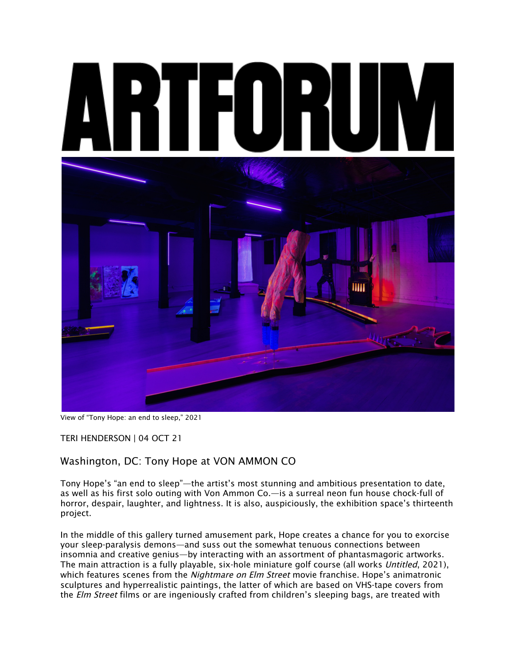

View of "Tony Hope: an end to sleep," 2021

TERI HENDERSON | 04 OCT 21

## Washington, DC: Tony Hope at VON AMMON CO

Tony Hope's "an end to sleep"—the artist's most stunning and ambitious presentation to date, as well as his first solo outing with Von Ammon Co.—is a surreal neon fun house chock-full of horror, despair, laughter, and lightness. It is also, auspiciously, the exhibition space's thirteenth project.

In the middle of this gallery turned amusement park, Hope creates a chance for you to exorcise your sleep-paralysis demons—and suss out the somewhat tenuous connections between insomnia and creative genius—by interacting with an assortment of phantasmagoric artworks. The main attraction is a fully playable, six-hole miniature golf course (all works Untitled, 2021), which features scenes from the *Nightmare on Elm Street* movie franchise. Hope's animatronic sculptures and hyperrealistic paintings, the latter of which are based on VHS-tape covers from the Elm Street films or are ingeniously crafted from children's sleeping bags, are treated with